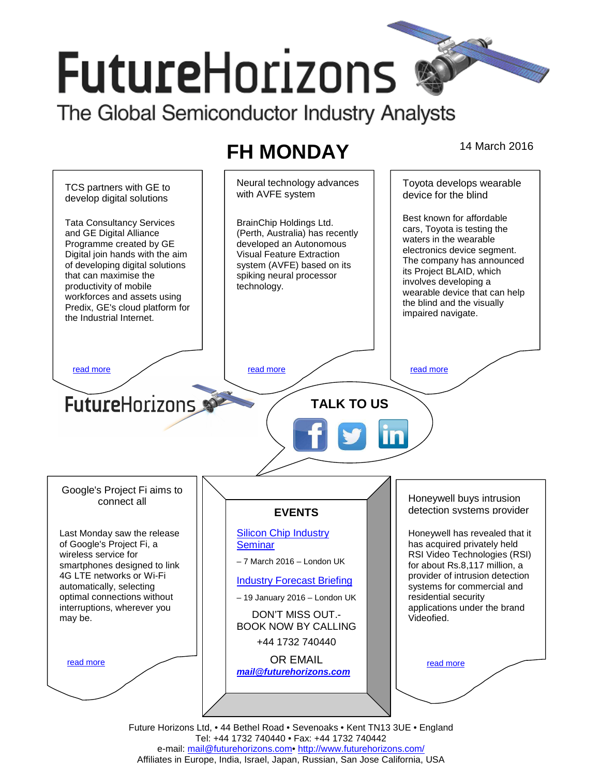# **FutureHorizons**

The Global Semiconductor Industry Analysts

## **FH MONDAY** 14 March 2016



e-mail: mail@futurehorizons.com• http://www.futurehorizons.com/ Affiliates in Europe, India, Israel, Japan, Russian, San Jose California, USA